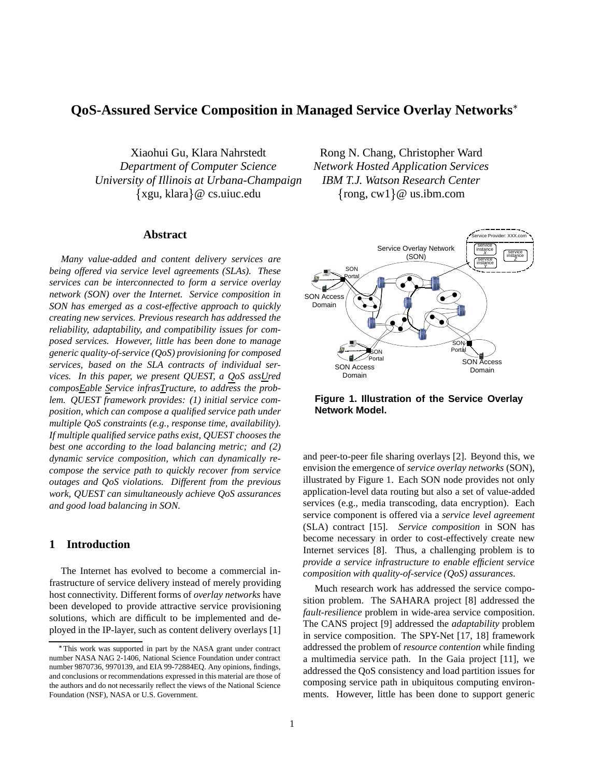# **QoS-Assured Service Composition in Managed Service Overlay Networks**

Xiaohui Gu, Klara Nahrstedt Rong N. Chang, Christopher Ward *Department of Computer Science Network Hosted Application Services University of Illinois at Urbana-Champaign IBM T.J. Watson Research Center*  $\{xgu, klara\} @$  cs.uiuc.edu  $\{rong, cv$ 

#### **Abstract**

*Many value-added and content delivery services are being offered via service level agreements (SLAs). These services can be interconnected to form a service overlay network (SON) over the Internet. Service composition in SON has emerged as a cost-effective approach to quickly creating new services. Previous research has addressed the reliability, adaptability, and compatibility issues for composed services. However, little has been done to manage generic quality-of-service (QoS) provisioning for composed services, based on the SLA contracts of individual services. In this paper, we present QUEST, a QoS assUred composEable Service infrasTructure, to address the problem. QUEST framework provides: (1) initial service composition, which can compose a qualified service path under multiple QoS constraints (e.g., response time, availability). If multiple qualified service paths exist, QUEST chooses the best one according to the load balancing metric; and (2) dynamic service composition, which can dynamically recompose the service path to quickly recover from service outages and QoS violations. Different from the previous work, QUEST can simultaneously achieve QoS assurances and good load balancing in SON.*

## **1 Introduction**

The Internet has evolved to become a commercial infrastructure of service delivery instead of merely providing host connectivity. Different forms of *overlay networks* have been developed to provide attractive service provisioning solutions, which are difficult to be implemented and deployed in the IP-layer, such as content delivery overlays [1]

rong, cw $1$ } @ us.ibm.com



**Figure 1. Illustration of the Service Overlay Network Model.**

and peer-to-peer file sharing overlays [2]. Beyond this, we envision the emergence of *service overlay networks* (SON), illustrated by Figure 1. Each SON node provides not only application-level data routing but also a set of value-added services (e.g., media transcoding, data encryption). Each service component is offered via a *service level agreement* (SLA) contract [15]. *Service composition* in SON has become necessary in order to cost-effectively create new Internet services [8]. Thus, a challenging problem is to *provide a service infrastructure to enable efficient service composition with quality-of-service (QoS) assurances*.

Much research work has addressed the service composition problem. The SAHARA project [8] addressed the *fault-resilience* problem in wide-area service composition. The CANS project [9] addressed the *adaptability* problem in service composition. The SPY-Net [17, 18] framework addressed the problem of *resource contention* while finding a multimedia service path. In the Gaia project [11], we addressed the QoS consistency and load partition issues for composing service path in ubiquitous computing environments. However, little has been done to support generic

This work was supported in part by the NASA grant under contract number NASA NAG 2-1406, National Science Foundation under contract number 9870736, 9970139, and EIA 99-72884EQ. Any opinions, findings, and conclusions or recommendations expressed in this material are those of the authors and do not necessarily reflect the views of the National Science Foundation (NSF), NASA or U.S. Government.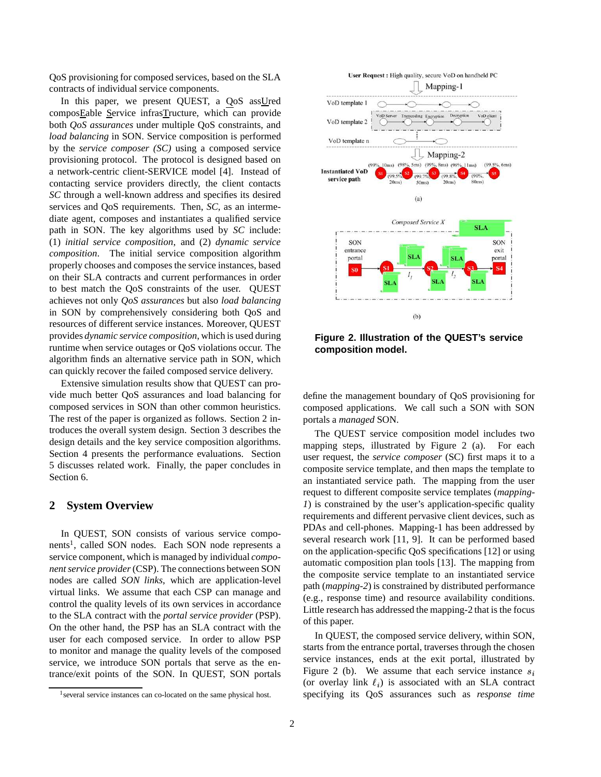QoS provisioning for composed services, based on the SLA contracts of individual service components.

In this paper, we present QUEST, a QoS assUred composEable Service infrasTructure, which can provide both *QoS assurances* under multiple QoS constraints, and *load balancing* in SON. Service composition is performed by the *service composer (SC)* using a composed service provisioning protocol. The protocol is designed based on a network-centric client-SERVICE model [4]. Instead of contacting service providers directly, the client contacts *SC* through a well-known address and specifies its desired services and QoS requirements. Then, *SC*, as an intermediate agent, composes and instantiates a qualified service path in SON. The key algorithms used by *SC* include: (1) *initial service composition*, and (2) *dynamic service composition*. The initial service composition algorithm properly chooses and composes the service instances, based on their SLA contracts and current performances in order to best match the QoS constraints of the user. QUEST achieves not only *QoS assurances* but also *load balancing* in SON by comprehensively considering both QoS and resources of different service instances. Moreover, QUEST provides *dynamic service composition*, which is used during runtime when service outages or QoS violations occur. The algorithm finds an alternative service path in SON, which can quickly recover the failed composed service delivery.

Extensive simulation results show that QUEST can provide much better QoS assurances and load balancing for composed services in SON than other common heuristics. The rest of the paper is organized as follows. Section 2 introduces the overall system design. Section 3 describes the design details and the key service composition algorithms. Section 4 presents the performance evaluations. Section 5 discusses related work. Finally, the paper concludes in Section 6.

## **2 System Overview**

In QUEST, SON consists of various service components<sup>1</sup>, called SON nodes. Each SON node represents a service component, which is managed by individual *component service provider* (CSP). The connections between SON nodes are called *SON links*, which are application-level virtual links. We assume that each CSP can manage and control the quality levels of its own services in accordance to the SLA contract with the *portal service provider* (PSP). On the other hand, the PSP has an SLA contract with the user for each composed service. In order to allow PSP to monitor and manage the quality levels of the composed service, we introduce SON portals that serve as the entrance/exit points of the SON. In QUEST, SON portals



**Figure 2. Illustration of the QUEST's service composition model.**

define the management boundary of QoS provisioning for composed applications. We call such a SON with SON portals a *managed* SON.

The QUEST service composition model includes two mapping steps, illustrated by Figure 2 (a). For each user request, the *service composer* (SC) first maps it to a composite service template, and then maps the template to an instantiated service path. The mapping from the user request to different composite service templates (*mapping-1*) is constrained by the user's application-specific quality requirements and different pervasive client devices, such as PDAs and cell-phones. Mapping-1 has been addressed by several research work [11, 9]. It can be performed based on the application-specific QoS specifications [12] or using automatic composition plan tools [13]. The mapping from the composite service template to an instantiated service path (*mapping-2*) is constrained by distributed performance (e.g., response time) and resource availability conditions. Little research has addressed the mapping-2 that is the focus of this paper.

In QUEST, the composed service delivery, within SON, starts from the entrance portal, traverses through the chosen service instances, ends at the exit portal, illustrated by Figure 2 (b). We assume that each service instance  $s_i$ and the contract of the contract of the contract of the contract of the contract of the contract of the contract of (or overlay link  $\ell_i$ ) is associated with an SLA contract specifying its QoS assurances such as *response time*

<sup>&</sup>lt;sup>1</sup> several service instances can co-located on the same physical host.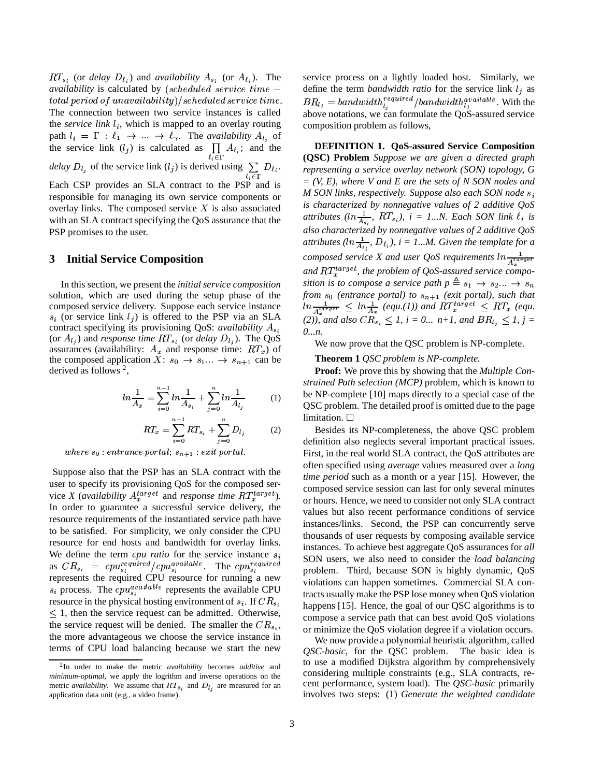$RT_{s_i}$  (or *delay*  $D_{\ell_i}$ ) and *availability*  $A_{s_i}$  (or  $A_{\ell_i}$ ). The *availability* is calculated by (scheduled service time –  $total\ period\ of\ unavailable\ /scheduled\ service\ time.$ The connection between two service instances is called the *service* link  $l_i$ , which is mapped to an overlay routing path  $l_i = \Gamma : \ell_1 \to ... \to \ell_{\gamma}$ . The *availability*  $A_{l_i}$  of the service link  $(l_j)$  is calculated as  $\prod_{\ell_i \in \Gamma} A_{\ell_i}$ ; and the *delay*  $D_{l_j}$  of the service link  $(l_j)$  is derived using  $\sum_{l_i \in \Gamma} D_{l_i}$ . representing Each CSP provides an SLA contract to the PSP and is responsible for managing its own service components or overlay links. The composed service  $X$  is also associated with an SLA contract specifying the QoS assurance that the PSP promises to the user.

#### **3 Initial Service Composition**

In this section, we present the *initial service composition* solution, which are used during the setup phase of the composed service delivery. Suppose each service instance  $s_i$  (or service link  $l_j$ ) is offered to the PSP via an SLA contract specifying its provisioning QoS: *availability* (or  $A_{l_i}$ ) and *response time*  $RT_{s_i}$  (or *delay*  $D_{l_i}$ ). The QoS assurances (availability:  $A_x$  and response time:  $RT_x$ ) of the composed application  $X: s_0 \to s_1 ... \to s_{n+1}$  can be derived as follows<sup>2</sup>,

$$
ln\frac{1}{A_x} = \sum_{i=0}^{n+1} ln\frac{1}{A_{s_i}} + \sum_{j=0}^{n} ln\frac{1}{A_{l_j}}
$$
 (1)

$$
RT_x = \sum_{i=0}^{n+1} RT_{s_i} + \sum_{j=0}^{n} D_{l_j}
$$
 (2)

where  $s_2$  entrance portal  $s_{n+1}$  erit portal

Suppose also that the PSP has an SLA contract with the user to specify its provisioning QoS for the composed service *X* (*availability*  $A_x^{target}$  and *response time*  $RT_x^{target}$ ). In order to guarantee a successful service delivery, the resource requirements of the instantiated service path have to be satisfied. For simplicity, we only consider the CPU resource for end hosts and bandwidth for overlay links. We define the term  $cpu$  *ratio* for the service instance  $s_i$  $\mathbf{r}$  and  $\mathbf{r}$ as  $CR_{s_i}$  =  $cpu_{s_i}^{required}/cpu_{s_i}^{available}$ . The  $cpu_{s_i}^{required}$ represents the required CPU resource for running a new  $s_i$  process. The  $cpu_{s_i}^{available}$  represents the available CPU resource in the physical hosting environment of  $s_i$ . If  $CR_{s_i}$  $\leq$  1, then the service request can be admitted. Otherwise, the service request will be denied. The smaller the  $CR_s$ , the more advantageous we choose the service instance in terms of CPU load balancing because we start the new

service process on a lightly loaded host. Similarly, we define the term *bandwidth ratio* for the service link  $l_j$  as  $BR_{l_i} = bandwidth_l^{regular}$  /  $bandwidth_l^{available}$ . With the above notations, we can formulate the QoS-assured service composition problem as follows,

**DEFINITION 1. QoS-assured Service Composition (QSC) Problem** *Suppose we are given a directed graph representing a service overlay network (SON) topology, G = (V, E), where V and E are the sets of N SON nodes and M SON links, respectively. Suppose also each SON node is characterized by nonnegative values of 2 additive QoS* <sup>D</sup> *attributes*  $(ln\frac{1}{4}, RT_{s_i}), i = 1...N$ . *Each SON link*  $\ell_i$  *is also characterized by nonnegative values of 2 additive QoS* <sup>D</sup> *attributes*  $(ln\frac{1}{A_{\ell}}$ ,  $D_{\ell_i}$ ,  $i = 1...M$ . Given the template for a *composed service X* and *user* QoS *requirements*  $ln \frac{1}{A_*^{target}}$ and  $RT_{x}^{target}$ , the problem of QoS-assured service compo*sition* is to compose a service path  $p \triangleq s_1 \rightarrow s_2 ... \rightarrow s_n$ *from*  $s_0$  (entrance portal) to  $s_{n+1}$  (exit portal), such that  $\ln \frac{1}{A^{target}} \leq \ln \frac{1}{A_{x}}$  (equ.(1)) and  $RT_{x}^{target} \leq RT_{x}$  (equ. *(2)),* and also  $CR_{s_i} \leq 1$ ,  $i = 0...$   $n+1$ , and  $BR_{l_i} \leq 1$ ,  $j = 1$ *0...n*.

We now prove that the QSC problem is NP-complete.

**Theorem 1** *QSC problem is NP-complete.*

**Proof:** We prove this by showing that the *Multiple Constrained Path selection (MCP)* problem, which is known to be NP-complete [10] maps directly to a special case of the QSC problem. The detailed proof is omitted due to the page limitation.  $\Box$ 

Besides its NP-completeness, the above QSC problem definition also neglects several important practical issues. First, in the real world SLA contract, the QoS attributes are often specified using *average* values measured over a *long time period* such as a month or a year [15]. However, the composed service session can last for only several minutes or hours. Hence, we need to consider not only SLA contract values but also recent performance conditions of service instances/links. Second, the PSP can concurrently serve thousands of user requests by composing available service instances. To achieve best aggregate QoS assurances for *all* SON users, we also need to consider the *load balancing* problem. Third, because SON is highly dynamic, QoS violations can happen sometimes. Commercial SLA contracts usually make the PSP lose money when QoS violation happens [15]. Hence, the goal of our QSC algorithms is to compose a service path that can best avoid QoS violations or minimize the QoS violation degree if a violation occurs.

We now provide a polynomial heuristic algorithm, called *QSC-basic*, for the QSC problem. The basic idea is to use a modified Dijkstra algorithm by comprehensively considering multiple constraints (e.g., SLA contracts, recent performance, system load). The *QSC-basic* primarily involves two steps: (1) *Generate the weighted candidate*

<sup>2</sup> In order to make the metric *availability* becomes *additive* and *minimum-optimal*, we apply the logrithm and inverse operations on the metric *availability*. We assume that  $RT_{s_i}$  and  $D_{l_i}$  are measured for an application data unit (e.g., a video frame).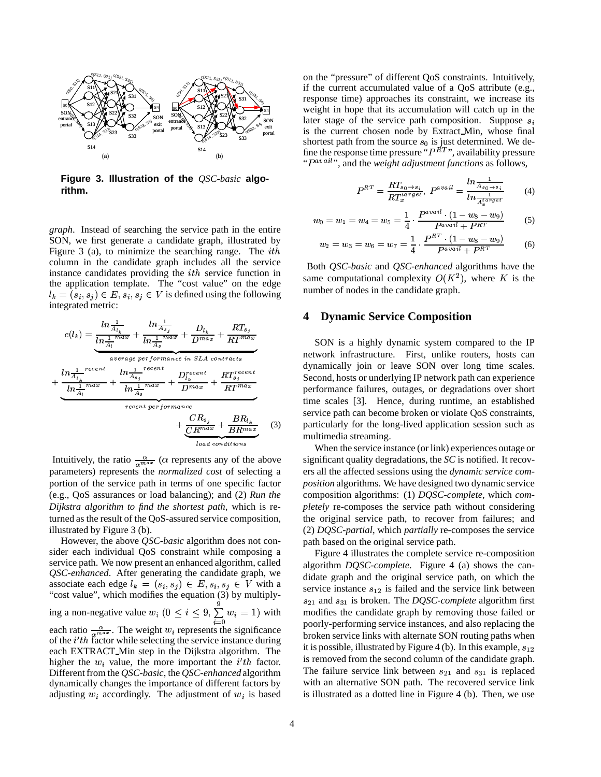

**Figure 3. Illustration of the** *QSC-basic* **algorithm.**

*graph*. Instead of searching the service path in the entire SON, we first generate a candidate graph, illustrated by Figure 3 (a), to minimize the searching range. The  $ith$ column in the candidate graph includes all the service instance candidates providing the  $ith$  service function in the application template. The "cost value" on the edge  $l_k = (s_i, s_j) \in E, s_i, s_j \in V$  is defined using the following integrated metric:

$$
c(l_k) = \underbrace{\frac{\ln \frac{1}{A_{l_k}}}{\ln \frac{1}{A_l}^{max}} + \frac{\ln \frac{1}{A_{s_j}}}{\ln \frac{1}{A_s}^{max}} + \frac{D_{l_k}}{D^{max}} + \frac{RT_{s_j}}{RT^{max}}}{\frac{average\ per\ formance\ in\ SLA\ contrast}{\ln \frac{1}{A_l}^{recent}} + \frac{\ln \frac{1}{A_{s_j}}^{recent}}{\ln \frac{1}{A_l}^{max}} + \frac{D_{l_k}^{recent}}{D^{max}} + \frac{RT_{s_j}^{recent}}{RT^{max}} + \frac{1}{RT^{max}} + \frac{1}{RT^{max}} + \frac{1}{RT^{max}} + \frac{1}{RT^{max}} + \frac{1}{RT^{max}} + \frac{1}{RT^{max}} + \frac{1}{RT^{max}}}
$$
\n
$$
c_{real\ point \text{is} } \left(3\right)
$$

Intuitively, the ratio  $\frac{\alpha}{\alpha^{max}}$  ( $\alpha$  represents any of the above parameters) represents the *normalized cost* of selecting a portion of the service path in terms of one specific factor (e.g., QoS assurances or load balancing); and (2) *Run the Dijkstra algorithm to find the shortest path*, which is returned as the result of the QoS-assured service composition, illustrated by Figure 3 (b).

However, the above *QSC-basic* algorithm does not consider each individual QoS constraint while composing a service path. We now present an enhanced algorithm, called *QSC-enhanced*. After generating the candidate graph, we associate each edge  $l_k = (s_i, s_j) \in E, s_i, s_j \in V$  with a "cost value", which modifies the equation (3) by multiplying a non-negative value  $w_i$   $(0 \le i \le 9, \sum_{i=0}^{9} w_i = 1)$  with n each ratio  $\frac{\alpha}{g_{max}}$ . The weight  $w_i$  represents the significance of the  $i'th$  factor while selecting the service instance during each EXTRACT Min step in the Dijkstra algorithm. The higher the  $w_i$  value, the more important the  $i'th$  factor. Different from the *QSC-basic*, the *QSC-enhanced* algorithm dynamically changes the importance of different factors by adjusting  $w_i$  accordingly. The adjustment of  $w_i$  is based

on the "pressure" of different QoS constraints. Intuitively, if the current accumulated value of a QoS attribute (e.g., response time) approaches its constraint, we increase its weight in hope that its accumulation will catch up in the later stage of the service path composition. Suppose  $s_i$ is the current chosen node by Extract Min, whose final shortest path from the source  $s_0$  is just determined. We define the response time pressure " $P^{\vec{R}T}$ ", availability pressure " $P^{avail}$ ", and the *weight adjustment functions* as follows,

$$
P^{RT} = \frac{RT_{s_0 \to s_i}}{RT_x^{t_a r g e t}}, \ P^{avail} = \frac{\ln \frac{1}{A_{s_0 \to s_i}}}{\ln \frac{1}{A_x^{t_a r g e t}}}
$$
(4)

$$
w_0 = w_1 = w_4 = w_5 = \frac{1}{4} \cdot \frac{P^{avail} \cdot (1 - w_8 - w_9)}{P^{avail} + P^{RT}} \tag{5}
$$

$$
w_2 = w_3 = w_6 = w_7 = \frac{1}{4} \cdot \frac{P^{RT} \cdot (1 - w_8 - w_9)}{P^{avail} + P^{RT}} \tag{6}
$$

Both *QSC-basic* and *QSC-enhanced* algorithms have the same computational complexity  $O(K^2)$ , where K is the number of nodes in the candidate graph.

## **4 Dynamic Service Composition**

SON is a highly dynamic system compared to the IP network infrastructure. First, unlike routers, hosts can dynamically join or leave SON over long time scales. Second, hosts or underlying IP network path can experience performance failures, outages, or degradations over short time scales [3]. Hence, during runtime, an established service path can become broken or violate QoS constraints, particularly for the long-lived application session such as multimedia streaming.

When the service instance (or link) experiences outage or significant quality degradations, the *SC* is notified. It recovers all the affected sessions using the *dynamic service composition* algorithms. We have designed two dynamic service composition algorithms: (1) *DQSC-complete*, which *completely* re-composes the service path without considering the original service path, to recover from failures; and (2) *DQSC-partial*, which *partially* re-composes the service path based on the original service path.

Figure 4 illustrates the complete service re-composition algorithm *DQSC-complete*. Figure 4 (a) shows the candidate graph and the original service path, on which the service instance  $s_{12}$  is failed and the service link between  $s_{21}$  and  $s_{31}$  is broken. The *DQSC-complete* algorithm first modifies the candidate graph by removing those failed or poorly-performing service instances, and also replacing the broken service links with alternate SON routing paths when it is possible, illustrated by Figure 4 (b). In this example,  $s_{12}$ is removed from the second column of the candidate graph. The failure service link between  $s_{21}$  and  $s_{31}$  is replaced with an alternative SON path. The recovered service link is illustrated as a dotted line in Figure 4 (b). Then, we use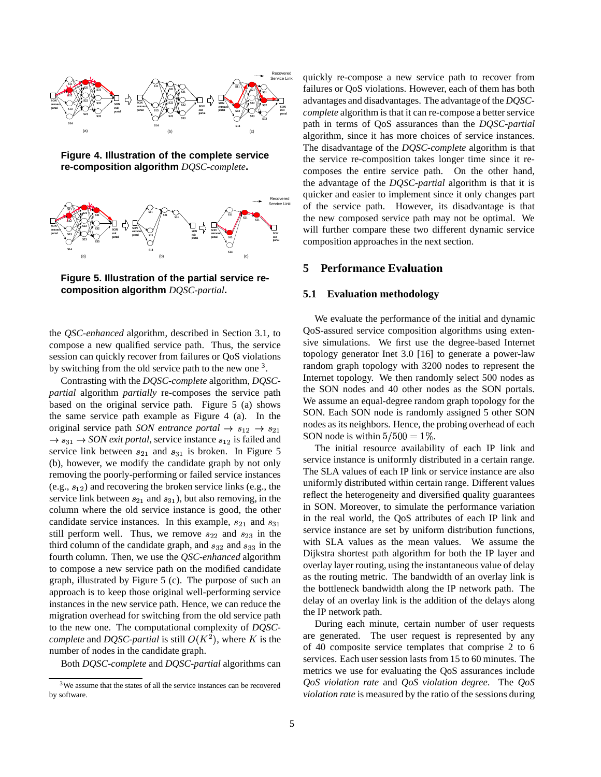

**Figure 4. Illustration of the complete service re-composition algorithm** *DQSC-complete***.**



**Figure 5. Illustration of the partial service recomposition algorithm** *DQSC-partial***.**

the *QSC-enhanced* algorithm, described in Section 3.1, to compose a new qualified service path. Thus, the service session can quickly recover from failures or QoS violations by switching from the old service path to the new one <sup>3</sup>.

Contrasting with the *DQSC-complete* algorithm, *DQSCpartial* algorithm *partially* re-composes the service path based on the original service path. Figure 5 (a) shows the same service path example as Figure 4 (a). In the original service path *SON* entrance portal  $\rightarrow s_{12} \rightarrow s_{21}$  nodes as 1  $\rightarrow$   $s_{31}$   $\rightarrow$  *SON exit portal*, service instance  $s_{12}$  is failed and service link between  $s_{21}$  and  $s_{31}$  is broken. In Figure 5 (b), however, we modify the candidate graph by not only removing the poorly-performing or failed service instances  $(e.g., s_{12})$  and recovering the broken service links  $(e.g., the)$ service link between  $s_{21}$  and  $s_{31}$ ), but also removing, in the column where the old service instance is good, the other candidate service instances. In this example,  $s_{21}$  and  $s_{31}$ still perform well. Thus, we remove  $s_{22}$  and  $s_{23}$  in the third column of the candidate graph, and  $s_{32}$  and  $s_{33}$  in the fourth column. Then, we use the *QSC-enhanced* algorithm to compose a new service path on the modified candidate graph, illustrated by Figure 5 (c). The purpose of such an approach is to keep those original well-performing service instances in the new service path. Hence, we can reduce the migration overhead for switching from the old service path to the new one. The computational complexity of *DQSCcomplete* and *DQSC-partial* is still  $O(K^2)$ , where K is the are get number of nodes in the candidate graph.

Both *DQSC-complete* and *DQSC-partial* algorithms can

quickly re-compose a new service path to recover from failures or QoS violations. However, each of them has both advantages and disadvantages. The advantage of the *DQSCcomplete* algorithm is that it can re-compose a better service path in terms of QoS assurances than the *DQSC-partial* algorithm, since it has more choices of service instances. The disadvantage of the *DQSC-complete* algorithm is that the service re-composition takes longer time since it recomposes the entire service path. On the other hand, the advantage of the *DQSC-partial* algorithm is that it is quicker and easier to implement since it only changes part of the service path. However, its disadvantage is that the new composed service path may not be optimal. We will further compare these two different dynamic service composition approaches in the next section.

## **5 Performance Evaluation**

#### **5.1 Evaluation methodology**

We evaluate the performance of the initial and dynamic QoS-assured service composition algorithms using extensive simulations. We first use the degree-based Internet topology generator Inet 3.0 [16] to generate a power-law random graph topology with 3200 nodes to represent the Internet topology. We then randomly select 500 nodes as the SON nodes and 40 other nodes as the SON portals. We assume an equal-degree random graph topology for the SON. Each SON node is randomly assigned 5 other SON nodes as its neighbors. Hence, the probing overhead of each SON node is within  $5/500 = 1\%$ .

The initial resource availability of each IP link and service instance is uniformly distributed in a certain range. The SLA values of each IP link or service instance are also uniformly distributed within certain range. Different values reflect the heterogeneity and diversified quality guarantees in SON. Moreover, to simulate the performance variation in the real world, the QoS attributes of each IP link and service instance are set by uniform distribution functions, with SLA values as the mean values. We assume the Dijkstra shortest path algorithm for both the IP layer and overlay layer routing, using the instantaneous value of delay as the routing metric. The bandwidth of an overlay link is the bottleneck bandwidth along the IP network path. The delay of an overlay link is the addition of the delays along the IP network path.

During each minute, certain number of user requests are generated. The user request is represented by any of 40 composite service templates that comprise 2 to 6 services. Each user session lasts from 15 to 60 minutes. The metrics we use for evaluating the QoS assurances include *QoS violation rate* and *QoS violation degree*. The *QoS violation rate* is measured by the ratio of the sessions during

<sup>3</sup>We assume that the states of all the service instances can be recovered by software.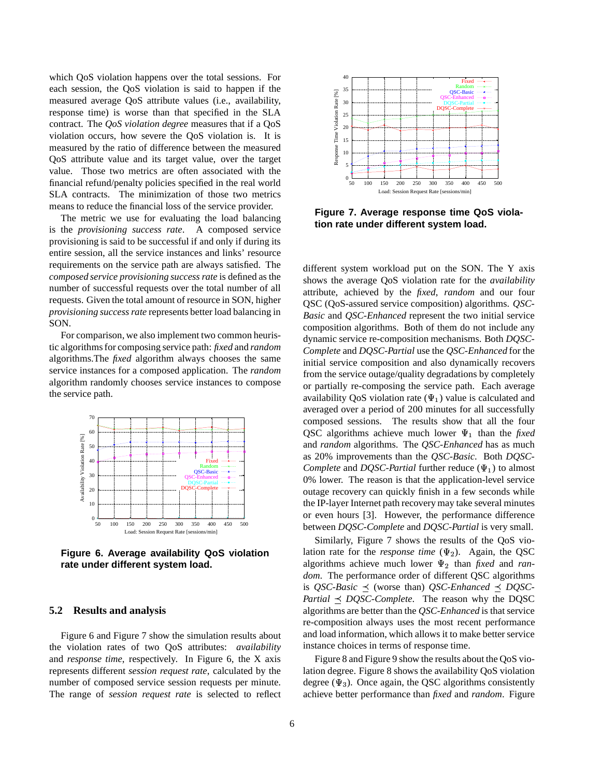which QoS violation happens over the total sessions. For each session, the QoS violation is said to happen if the measured average QoS attribute values (i.e., availability, response time) is worse than that specified in the SLA contract. The *QoS violation degree* measures that if a QoS violation occurs, how severe the QoS violation is. It is measured by the ratio of difference between the measured QoS attribute value and its target value, over the target value. Those two metrics are often associated with the financial refund/penalty policies specified in the real world SLA contracts. The minimization of those two metrics means to reduce the financial loss of the service provider.

The metric we use for evaluating the load balancing is the *provisioning success rate*. A composed service provisioning is said to be successful if and only if during its entire session, all the service instances and links' resource requirements on the service path are always satisfied. The *composed service provisioning success rate* is defined as the number of successful requests over the total number of all requests. Given the total amount of resource in SON, higher *provisioning success rate* represents better load balancing in SON.

For comparison, we also implement two common heuristic algorithmsfor composing service path: *fixed* and *random* algorithms.The *fixed* algorithm always chooses the same service instances for a composed application. The *random* algorithm randomly chooses service instances to compose the service path.



**Figure 6. Average availability QoS violation rate under different system load.**

#### **5.2 Results and analysis**

Figure 6 and Figure 7 show the simulation results about the violation rates of two QoS attributes: *availability* and *response time*, respectively. In Figure 6, the X axis represents different *session request rate*, calculated by the number of composed service session requests per minute. The range of *session request rate* is selected to reflect



**Figure 7. Average response time QoS violation rate under different system load.**

different system workload put on the SON. The Y axis shows the average QoS violation rate for the *availability* attribute, achieved by the *fixed*, *random* and our four QSC (QoS-assured service composition) algorithms. *QSC-Basic* and *QSC-Enhanced* represent the two initial service composition algorithms. Both of them do not include any dynamic service re-composition mechanisms. Both *DQSC-Complete* and *DQSC-Partial* use the *QSC-Enhanced* for the initial service composition and also dynamically recovers from the service outage/quality degradations by completely or partially re-composing the service path. Each average availability QoS violation rate  $(\Psi_1)$  value is calculated and averaged over a period of 200 minutes for all successfully composed sessions. The results show that all the four QSC algorithms achieve much lower  $\Psi_1$  than the *fixed* and *random* algorithms. The *QSC-Enhanced* has as much as 20% improvements than the *QSC-Basic*. Both *DQSC-Complete* and *DQSC-Partial* further reduce  $(\Psi_1)$  to almost 0% lower. The reason is that the application-level service outage recovery can quickly finish in a few seconds while the IP-layer Internet path recovery may take several minutes or even hours [3]. However, the performance difference between *DQSC-Complete* and *DQSC-Partial* is very small.

Similarly, Figure 7 shows the results of the QoS violation rate for the *response time*  $(\Psi_2)$ . Again, the QSC algorithms achieve much lower  $\Psi_2$  than *fixed* and *random*. The performance order of different QSC algorithms is *QSC-Basic*  $\prec$  (worse than) *QSC-Enhanced*  $\prec$  *DQSC-Partial*  $\prec$  *DQSC-Complete*. The reason why the DQSC algorithms are better than the *QSC-Enhanced* is that service re-composition always uses the most recent performance and load information, which allows it to make better service instance choices in terms of response time.

Figure 8 and Figure 9 show the results about the QoS violation degree. Figure 8 shows the availability QoS violation degree ( $\Psi_3$ ). Once again, the QSC algorithms consistently achieve better performance than *fixed* and *random*. Figure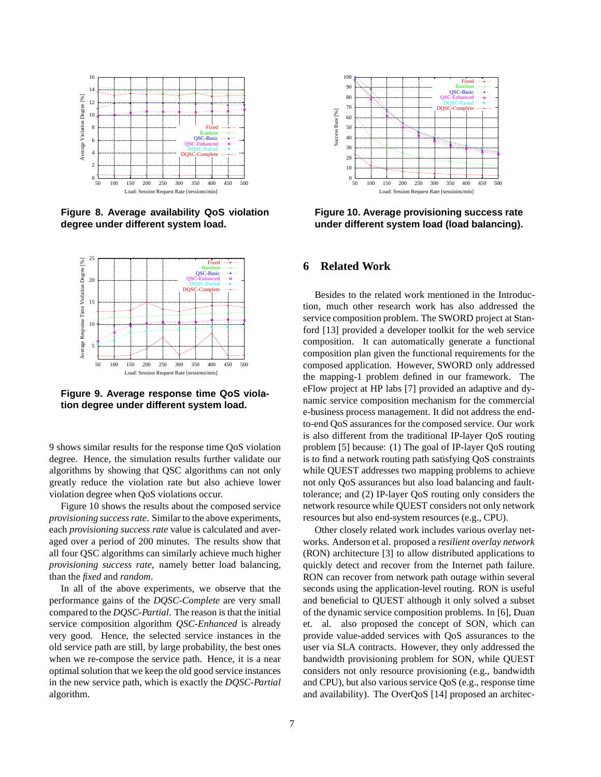

**Figure 8. Average availability QoS violation degree under different system load.**



**Figure 9. Average response time QoS violation degree under different system load.**

9 shows similar results for the response time QoS violation degree. Hence, the simulation results further validate our algorithms by showing that QSC algorithms can not only greatly reduce the violation rate but also achieve lower violation degree when QoS violations occur.

Figure 10 shows the results about the composed service *provisioning success rate*. Similar to the above experiments, each *provisioning success rate* value is calculated and averaged over a period of 200 minutes. The results show that all four QSC algorithms can similarly achieve much higher *provisioning success rate*, namely better load balancing, than the *fixed* and *random*.

In all of the above experiments, we observe that the performance gains of the *DQSC-Complete* are very small compared to the *DQSC-Partial*. The reason is that the initial service composition algorithm *QSC-Enhanced* is already very good. Hence, the selected service instances in the old service path are still, by large probability, the best ones when we re-compose the service path. Hence, it is a near optimal solution that we keep the old good service instances in the new service path, which is exactly the *DQSC-Partial* algorithm.



**Figure 10. Average provisioning success rate under different system load (load balancing).**

## **6 Related Work**

Besides to the related work mentioned in the Introduction, much other research work has also addressed the service composition problem. The SWORD project at Stanford [13] provided a developer toolkit for the web service composition. It can automatically generate a functional composition plan given the functional requirements for the composed application. However, SWORD only addressed the mapping-1 problem defined in our framework. The eFlow project at HP labs [7] provided an adaptive and dynamic service composition mechanism for the commercial e-business process management. It did not address the endto-end QoS assurances for the composed service. Our work is also different from the traditional IP-layer QoS routing problem [5] because: (1) The goal of IP-layer QoS routing is to find a network routing path satisfying QoS constraints while QUEST addresses two mapping problems to achieve not only QoS assurances but also load balancing and faulttolerance; and (2) IP-layer QoS routing only considers the network resource while QUEST considers not only network resources but also end-system resources (e.g., CPU).

Other closely related work includes various overlay networks. Anderson et al. proposed a *resilient overlay network* (RON) architecture [3] to allow distributed applications to quickly detect and recover from the Internet path failure. RON can recover from network path outage within several seconds using the application-level routing. RON is useful and beneficial to QUEST although it only solved a subset of the dynamic service composition problems. In [6], Duan et. al. also proposed the concept of SON, which can provide value-added services with QoS assurances to the user via SLA contracts. However, they only addressed the bandwidth provisioning problem for SON, while QUEST considers not only resource provisioning (e.g., bandwidth and CPU), but also various service QoS (e.g., response time and availability). The OverQoS [14] proposed an architec-